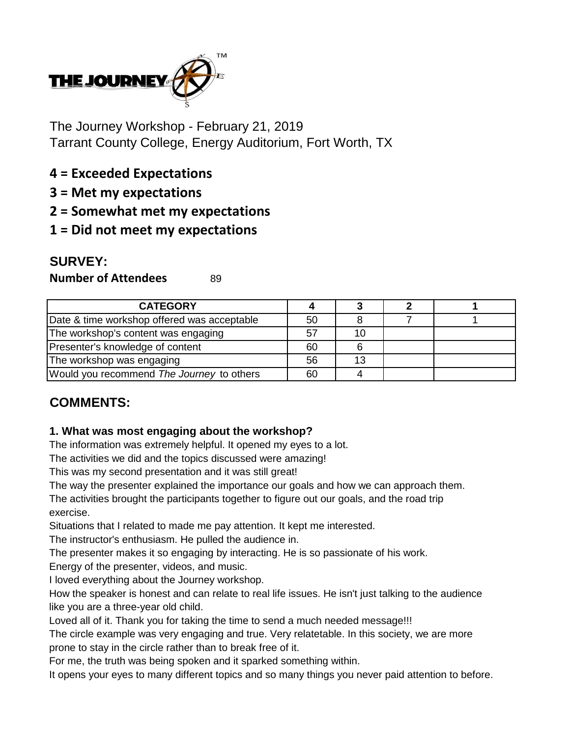

The Journey Workshop - February 21, 2019 Tarrant County College, Energy Auditorium, Fort Worth, TX

- **4 = Exceeded Expectations**
- **3 = Met my expectations**
- **2 = Somewhat met my expectations**
- **1 = Did not meet my expectations**

# **SURVEY:**

**Number of Attendees** 89

| <b>CATEGORY</b>                             |    |    |  |
|---------------------------------------------|----|----|--|
| Date & time workshop offered was acceptable | 50 |    |  |
| The workshop's content was engaging         | 57 | 10 |  |
| Presenter's knowledge of content            | 60 |    |  |
| The workshop was engaging                   | 56 | 13 |  |
| Would you recommend The Journey to others   | 60 |    |  |

# **COMMENTS:**

### **1. What was most engaging about the workshop?**

The information was extremely helpful. It opened my eyes to a lot.

The activities we did and the topics discussed were amazing!

This was my second presentation and it was still great!

The way the presenter explained the importance our goals and how we can approach them.

The activities brought the participants together to figure out our goals, and the road trip exercise.

Situations that I related to made me pay attention. It kept me interested.

The instructor's enthusiasm. He pulled the audience in.

The presenter makes it so engaging by interacting. He is so passionate of his work.

Energy of the presenter, videos, and music.

I loved everything about the Journey workshop.

How the speaker is honest and can relate to real life issues. He isn't just talking to the audience like you are a three-year old child.

Loved all of it. Thank you for taking the time to send a much needed message!!!

The circle example was very engaging and true. Very relatetable. In this society, we are more prone to stay in the circle rather than to break free of it.

For me, the truth was being spoken and it sparked something within.

It opens your eyes to many different topics and so many things you never paid attention to before.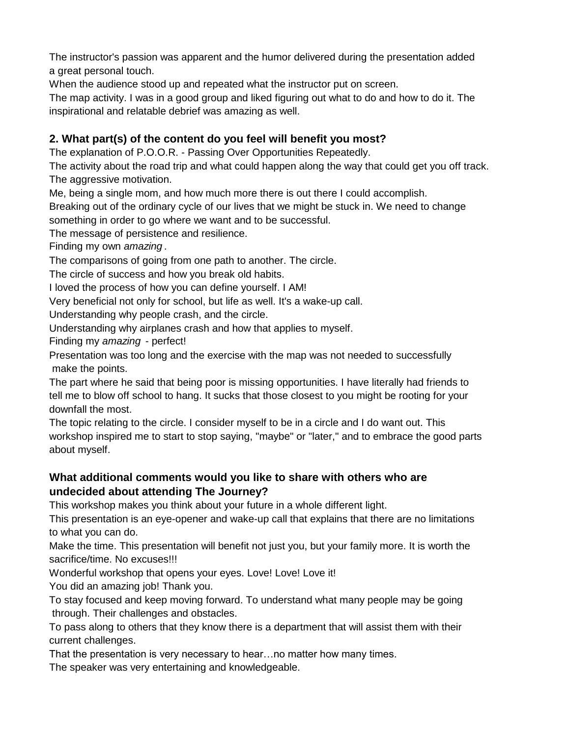The instructor's passion was apparent and the humor delivered during the presentation added a great personal touch.

When the audience stood up and repeated what the instructor put on screen.

The map activity. I was in a good group and liked figuring out what to do and how to do it. The inspirational and relatable debrief was amazing as well.

## **2. What part(s) of the content do you feel will benefit you most?**

The explanation of P.O.O.R. - Passing Over Opportunities Repeatedly.

The activity about the road trip and what could happen along the way that could get you off track. The aggressive motivation.

Me, being a single mom, and how much more there is out there I could accomplish.

Breaking out of the ordinary cycle of our lives that we might be stuck in. We need to change

something in order to go where we want and to be successful.

The message of persistence and resilience.

Finding my own *amazing* .

The comparisons of going from one path to another. The circle.

The circle of success and how you break old habits.

I loved the process of how you can define yourself. I AM!

Very beneficial not only for school, but life as well. It's a wake-up call.

Understanding why people crash, and the circle.

Understanding why airplanes crash and how that applies to myself.

Finding my *amazing* - perfect!

Presentation was too long and the exercise with the map was not needed to successfully make the points.

The part where he said that being poor is missing opportunities. I have literally had friends to tell me to blow off school to hang. It sucks that those closest to you might be rooting for your downfall the most.

The topic relating to the circle. I consider myself to be in a circle and I do want out. This workshop inspired me to start to stop saying, "maybe" or "later," and to embrace the good parts about myself.

### **What additional comments would you like to share with others who are undecided about attending The Journey?**

This workshop makes you think about your future in a whole different light.

This presentation is an eye-opener and wake-up call that explains that there are no limitations to what you can do.

Make the time. This presentation will benefit not just you, but your family more. It is worth the sacrifice/time. No excuses!!!

Wonderful workshop that opens your eyes. Love! Love! Love it!

You did an amazing job! Thank you.

To stay focused and keep moving forward. To understand what many people may be going through. Their challenges and obstacles.

To pass along to others that they know there is a department that will assist them with their current challenges.

That the presentation is very necessary to hear…no matter how many times.

The speaker was very entertaining and knowledgeable.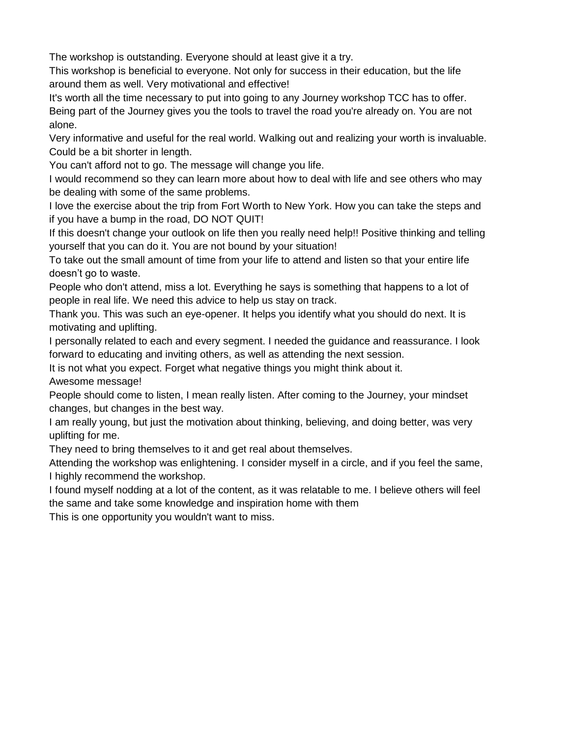The workshop is outstanding. Everyone should at least give it a try.

This workshop is beneficial to everyone. Not only for success in their education, but the life around them as well. Very motivational and effective!

It's worth all the time necessary to put into going to any Journey workshop TCC has to offer. Being part of the Journey gives you the tools to travel the road you're already on. You are not alone.

Could be a bit shorter in length. Very informative and useful for the real world. Walking out and realizing your worth is invaluable.

You can't afford not to go. The message will change you life.

I would recommend so they can learn more about how to deal with life and see others who may be dealing with some of the same problems.

I love the exercise about the trip from Fort Worth to New York. How you can take the steps and if you have a bump in the road, DO NOT QUIT!

If this doesn't change your outlook on life then you really need help!! Positive thinking and telling yourself that you can do it. You are not bound by your situation!

To take out the small amount of time from your life to attend and listen so that your entire life doesn't go to waste.

People who don't attend, miss a lot. Everything he says is something that happens to a lot of people in real life. We need this advice to help us stay on track.

Thank you. This was such an eye-opener. It helps you identify what you should do next. It is motivating and uplifting.

I personally related to each and every segment. I needed the guidance and reassurance. I look forward to educating and inviting others, as well as attending the next session.

It is not what you expect. Forget what negative things you might think about it.

Awesome message!

People should come to listen, I mean really listen. After coming to the Journey, your mindset changes, but changes in the best way.

I am really young, but just the motivation about thinking, believing, and doing better, was very uplifting for me.

They need to bring themselves to it and get real about themselves.

Attending the workshop was enlightening. I consider myself in a circle, and if you feel the same, I highly recommend the workshop.

I found myself nodding at a lot of the content, as it was relatable to me. I believe others will feel the same and take some knowledge and inspiration home with them

This is one opportunity you wouldn't want to miss.